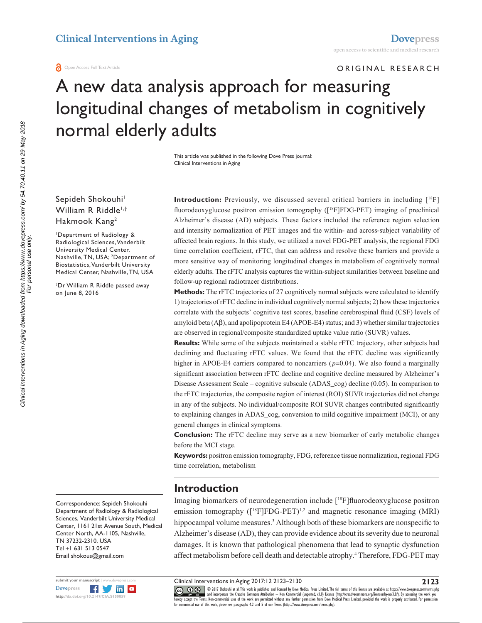#### Open Access Full Text Article

ORIGINAL RESEARCH

# A new data analysis approach for measuring longitudinal changes of metabolism in cognitively normal elderly adults

This article was published in the following Dove Press journal: Clinical Interventions in Aging

#### Sepideh Shokouhi<sup>1</sup> William R Riddle<sup>1,†</sup> Hakmook Kang2

1 Department of Radiology & Radiological Sciences, Vanderbilt University Medical Center, Nashville, TN, USA; 2 Department of Biostatistics, Vanderbilt University Medical Center, Nashville, TN, USA

† Dr William R Riddle passed away on June 8, 2016

Correspondence: Sepideh Shokouhi Department of Radiology & Radiological Sciences, Vanderbilt University Medical Center, 1161 21st Avenue South, Medical Center North, AA-1105, Nashville, TN 37232-2310, USA Tel +1 631 513 0547 Email [shokous@gmail.com](mailto:shokous@gmail.com)



**Introduction:** Previously, we discussed several critical barriers in including [<sup>18</sup>F] fluorodeoxyglucose positron emission tomography ([18F]FDG-PET) imaging of preclinical Alzheimer's disease (AD) subjects. These factors included the reference region selection and intensity normalization of PET images and the within- and across-subject variability of affected brain regions. In this study, we utilized a novel FDG-PET analysis, the regional FDG time correlation coefficient, rFTC, that can address and resolve these barriers and provide a more sensitive way of monitoring longitudinal changes in metabolism of cognitively normal elderly adults. The rFTC analysis captures the within-subject similarities between baseline and follow-up regional radiotracer distributions.

**Methods:** The rFTC trajectories of 27 cognitively normal subjects were calculated to identify 1) trajectories of rFTC decline in individual cognitively normal subjects; 2) how these trajectories correlate with the subjects' cognitive test scores, baseline cerebrospinal fluid (CSF) levels of amyloid beta  $(A\beta)$ , and apolipoprotein E4 (APOE-E4) status; and 3) whether similar trajectories are observed in regional/composite standardized uptake value ratio (SUVR) values.

**Results:** While some of the subjects maintained a stable rFTC trajectory, other subjects had declining and fluctuating rFTC values. We found that the rFTC decline was significantly higher in APOE-E4 carriers compared to noncarriers ( $p=0.04$ ). We also found a marginally significant association between rFTC decline and cognitive decline measured by Alzheimer's Disease Assessment Scale – cognitive subscale (ADAS\_cog) decline (0.05). In comparison to the rFTC trajectories, the composite region of interest (ROI) SUVR trajectories did not change in any of the subjects. No individual/composite ROI SUVR changes contributed significantly to explaining changes in ADAS\_cog, conversion to mild cognitive impairment (MCI), or any general changes in clinical symptoms.

**Conclusion:** The rFTC decline may serve as a new biomarker of early metabolic changes before the MCI stage.

**Keywords:** positron emission tomography, FDG, reference tissue normalization, regional FDG time correlation, metabolism

# **Introduction**

Imaging biomarkers of neurodegeneration include [18F]fluorodeoxyglucose positron emission tomography  $(I^{18}F]FDG-PET)^{1,2}$  and magnetic resonance imaging (MRI) hippocampal volume measures.<sup>3</sup> Although both of these biomarkers are nonspecific to Alzheimer's disease (AD), they can provide evidence about its severity due to neuronal damages. It is known that pathological phenomena that lead to synaptic dysfunction affect metabolism before cell death and detectable atrophy.<sup>4</sup> Therefore, FDG-PET may

Clinical Interventions in Aging 2017:12 2123–2130

CCC O S © 2017 Shokouhi et al. This work is published and licensed by Dove Medical Press Limited. The full terms of this license are available at <https://www.dovepress.com/terms.php><br>[hereby accept the Terms](http://www.dovepress.com/permissions.php). Non-commercial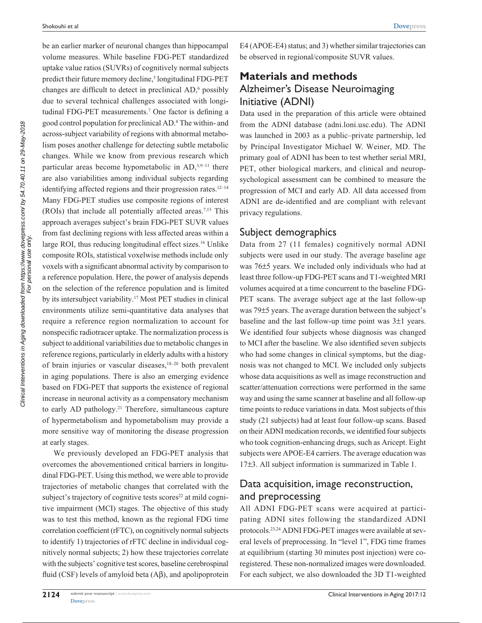be an earlier marker of neuronal changes than hippocampal volume measures. While baseline FDG-PET standardized uptake value ratios (SUVRs) of cognitively normal subjects predict their future memory decline,<sup>5</sup> longitudinal FDG-PET changes are difficult to detect in preclinical AD,<sup>6</sup> possibly due to several technical challenges associated with longitudinal FDG-PET measurements.7 One factor is defining a good control population for preclinical AD.8 The within- and across-subject variability of regions with abnormal metabolism poses another challenge for detecting subtle metabolic changes. While we know from previous research which particular areas become hypometabolic in  $AD$ ,  $3,9-11$  there are also variabilities among individual subjects regarding identifying affected regions and their progression rates.<sup>12–14</sup> Many FDG-PET studies use composite regions of interest (ROIs) that include all potentially affected areas.7,15 This approach averages subject's brain FDG-PET SUVR values from fast declining regions with less affected areas within a large ROI, thus reducing longitudinal effect sizes.16 Unlike composite ROIs, statistical voxelwise methods include only voxels with a significant abnormal activity by comparison to a reference population. Here, the power of analysis depends on the selection of the reference population and is limited by its intersubject variability.<sup>17</sup> Most PET studies in clinical environments utilize semi-quantitative data analyses that require a reference region normalization to account for nonspecific radiotracer uptake. The normalization process is subject to additional variabilities due to metabolic changes in reference regions, particularly in elderly adults with a history of brain injuries or vascular diseases,<sup>18-20</sup> both prevalent in aging populations. There is also an emerging evidence based on FDG-PET that supports the existence of regional increase in neuronal activity as a compensatory mechanism to early AD pathology.<sup>21</sup> Therefore, simultaneous capture of hypermetabolism and hypometabolism may provide a more sensitive way of monitoring the disease progression at early stages.

We previously developed an FDG-PET analysis that overcomes the abovementioned critical barriers in longitudinal FDG-PET. Using this method, we were able to provide trajectories of metabolic changes that correlated with the subject's trajectory of cognitive tests scores<sup>22</sup> at mild cognitive impairment (MCI) stages. The objective of this study was to test this method, known as the regional FDG time correlation coefficient (rFTC), on cognitively normal subjects to identify 1) trajectories of rFTC decline in individual cognitively normal subjects; 2) how these trajectories correlate with the subjects' cognitive test scores, baseline cerebrospinal fluid (CSF) levels of amyloid beta (Aβ), and apolipoprotein E4 (APOE-E4) status; and 3) whether similar trajectories can be observed in regional/composite SUVR values.

# **Materials and methods** Alzheimer's Disease Neuroimaging Initiative (ADNI)

Data used in the preparation of this article were obtained from the ADNI database (adni.loni.usc.edu). The ADNI was launched in 2003 as a public–private partnership, led by Principal Investigator Michael W. Weiner, MD. The primary goal of ADNI has been to test whether serial MRI, PET, other biological markers, and clinical and neuropsychological assessment can be combined to measure the progression of MCI and early AD. All data accessed from ADNI are de-identified and are compliant with relevant privacy regulations.

#### Subject demographics

Data from 27 (11 females) cognitively normal ADNI subjects were used in our study. The average baseline age was 76±5 years. We included only individuals who had at least three follow-up FDG-PET scans and T1-weighted MRI volumes acquired at a time concurrent to the baseline FDG-PET scans. The average subject age at the last follow-up was 79±5 years. The average duration between the subject's baseline and the last follow-up time point was 3±1 years. We identified four subjects whose diagnosis was changed to MCI after the baseline. We also identified seven subjects who had some changes in clinical symptoms, but the diagnosis was not changed to MCI. We included only subjects whose data acquisitions as well as image reconstruction and scatter/attenuation corrections were performed in the same way and using the same scanner at baseline and all follow-up time points to reduce variations in data. Most subjects of this study (21 subjects) had at least four follow-up scans. Based on their ADNI medication records, we identified four subjects who took cognition-enhancing drugs, such as Aricept. Eight subjects were APOE-E4 carriers. The average education was 17±3. All subject information is summarized in Table 1.

# Data acquisition, image reconstruction, and preprocessing

All ADNI FDG-PET scans were acquired at participating ADNI sites following the standardized ADNI protocols.23,24 ADNI FDG-PET images were available at several levels of preprocessing. In "level 1", FDG time frames at equilibrium (starting 30 minutes post injection) were coregistered. These non-normalized images were downloaded. For each subject, we also downloaded the 3D T1-weighted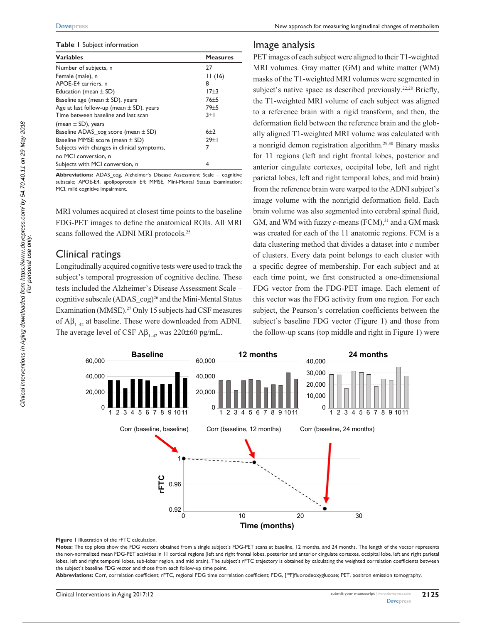#### **Table 1** Subject information

| <b>Variables</b>                             | <b>Measures</b> |
|----------------------------------------------|-----------------|
| Number of subjects, n                        | 27              |
| Female (male), n                             | 11(16)          |
| APOE-E4 carriers, n                          | 8               |
| Education (mean $\pm$ SD)                    | 17±3            |
| Baseline age (mean $\pm$ SD), years          | $76 + 5$        |
| Age at last follow-up (mean $\pm$ SD), years | $79\pm5$        |
| Time between baseline and last scan          | $3+1$           |
| (mean $\pm$ SD), years                       |                 |
| Baseline ADAS cog score (mean $\pm$ SD)      | $6+2$           |
| Baseline MMSE score (mean $\pm$ SD)          | $29+1$          |
| Subjects with changes in clinical symptoms,  | 7               |
| no MCI conversion, n                         |                 |
| Subjects with MCI conversion, n              |                 |

**Abbreviations:** ADAS\_cog, Alzheimer's Disease Assessment Scale – cognitive subscale; APOE-E4, apolipoprotein E4; MMSE, Mini-Mental Status Examination; MCI, mild cognitive impairment.

MRI volumes acquired at closest time points to the baseline FDG-PET images to define the anatomical ROIs. All MRI scans followed the ADNI MRI protocols.<sup>25</sup>

## Clinical ratings

Longitudinally acquired cognitive tests were used to track the subject's temporal progression of cognitive decline. These tests included the Alzheimer's Disease Assessment Scale – cognitive subscale (ADAS\_cog)26 and the Mini-Mental Status Examination (MMSE).27 Only 15 subjects had CSF measures of  $A\beta_{1-42}$  at baseline. These were downloaded from ADNI. The average level of CSF  $\mathbf{A}\beta_{1\text{-}42}$  was 220±60 pg/mL.

#### Image analysis

PET images of each subject were aligned to their T1-weighted MRI volumes. Gray matter (GM) and white matter (WM) masks of the T1-weighted MRI volumes were segmented in subject's native space as described previously.<sup>22,28</sup> Briefly, the T1-weighted MRI volume of each subject was aligned to a reference brain with a rigid transform, and then, the deformation field between the reference brain and the globally aligned T1-weighted MRI volume was calculated with a nonrigid demon registration algorithm.29,30 Binary masks for 11 regions (left and right frontal lobes, posterior and anterior cingulate cortexes, occipital lobe, left and right parietal lobes, left and right temporal lobes, and mid brain) from the reference brain were warped to the ADNI subject's image volume with the nonrigid deformation field. Each brain volume was also segmented into cerebral spinal fluid, GM, and WM with fuzzy  $c$ -means (FCM), $31$  and a GM mask was created for each of the 11 anatomic regions. FCM is a data clustering method that divides a dataset into *c* number of clusters. Every data point belongs to each cluster with a specific degree of membership. For each subject and at each time point, we first constructed a one-dimensional FDG vector from the FDG-PET image. Each element of this vector was the FDG activity from one region. For each subject, the Pearson's correlation coefficients between the subject's baseline FDG vector (Figure 1) and those from the follow-up scans (top middle and right in Figure 1) were



#### **Figure 1** Illustration of the rFTC calculation.

**Notes:** The top plots show the FDG vectors obtained from a single subject's FDG-PET scans at baseline, 12 months, and 24 months. The length of the vector represents the non-normalized mean FDG-PET activities in 11 cortical regions (left and right frontal lobes, posterior and anterior cingulate cortexes, occipital lobe, left and right parietal lobes, left and right temporal lobes, sub-lobar region, and mid brain). The subject's rFTC trajectory is obtained by calculating the weighted correlation coefficients between the subject's baseline FDG vector and those from each follow-up time point.

**Abbreviations:** Corr, correlation coefficient; rFTC, regional FDG time correlation coefficient; FDG, [<sup>18</sup>F]fluorodeoxyglucose; PET, positron emission tomography.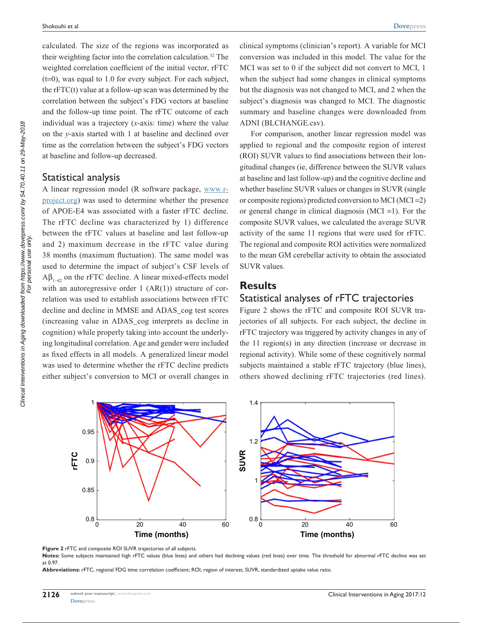calculated. The size of the regions was incorporated as their weighting factor into the correlation calculation.32 The weighted correlation coefficient of the initial vector, rFTC  $(t=0)$ , was equal to 1.0 for every subject. For each subject, the rFTC(t) value at a follow-up scan was determined by the correlation between the subject's FDG vectors at baseline and the follow-up time point. The rFTC outcome of each individual was a trajectory (*x*-axis: time) where the value on the *y*-axis started with 1 at baseline and declined over time as the correlation between the subject's FDG vectors at baseline and follow-up decreased.

#### Statistical analysis

A linear regression model (R software package, [www.r](http://www.r-project.org)[project.org](http://www.r-project.org)) was used to determine whether the presence of APOE-E4 was associated with a faster rFTC decline. The rFTC decline was characterized by 1) difference between the rFTC values at baseline and last follow-up and 2) maximum decrease in the rFTC value during 38 months (maximum fluctuation). The same model was used to determine the impact of subject's CSF levels of  $A\beta_{1-4}$  on the rFTC decline. A linear mixed-effects model with an autoregressive order  $1$  (AR(1)) structure of correlation was used to establish associations between rFTC decline and decline in MMSE and ADAS\_cog test scores (increasing value in ADAS\_cog interprets as decline in cognition) while properly taking into account the underlying longitudinal correlation. Age and gender were included as fixed effects in all models. A generalized linear model was used to determine whether the rFTC decline predicts either subject's conversion to MCI or overall changes in clinical symptoms (clinician's report). A variable for MCI conversion was included in this model. The value for the MCI was set to 0 if the subject did not convert to MCI, 1 when the subject had some changes in clinical symptoms but the diagnosis was not changed to MCI, and 2 when the subject's diagnosis was changed to MCI. The diagnostic summary and baseline changes were downloaded from ADNI (BLCHANGE.csv).

For comparison, another linear regression model was applied to regional and the composite region of interest (ROI) SUVR values to find associations between their longitudinal changes (ie, difference between the SUVR values at baseline and last follow-up) and the cognitive decline and whether baseline SUVR values or changes in SUVR (single or composite regions) predicted conversion to MCI (MCI =2) or general change in clinical diagnosis (MCI =1). For the composite SUVR values, we calculated the average SUVR activity of the same 11 regions that were used for rFTC. The regional and composite ROI activities were normalized to the mean GM cerebellar activity to obtain the associated SUVR values.

#### **Results**

## Statistical analyses of rFTC trajectories

Figure 2 shows the rFTC and composite ROI SUVR trajectories of all subjects. For each subject, the decline in rFTC trajectory was triggered by activity changes in any of the 11 region(s) in any direction (increase or decrease in regional activity). While some of these cognitively normal subjects maintained a stable rFTC trajectory (blue lines), others showed declining rFTC trajectories (red lines).



**Figure 2** rFTC and composite ROI SUVR trajectories of all subjects.

**Notes:** Some subjects maintained high rFTC values (blue lines) and others had declining values (red lines) over time. The threshold for abnormal rFTC decline was set at 0.97.

**Abbreviations:** rFTC, regional FDG time correlation coefficient; ROI, region of interest; SUVR, standardized uptake value ratio.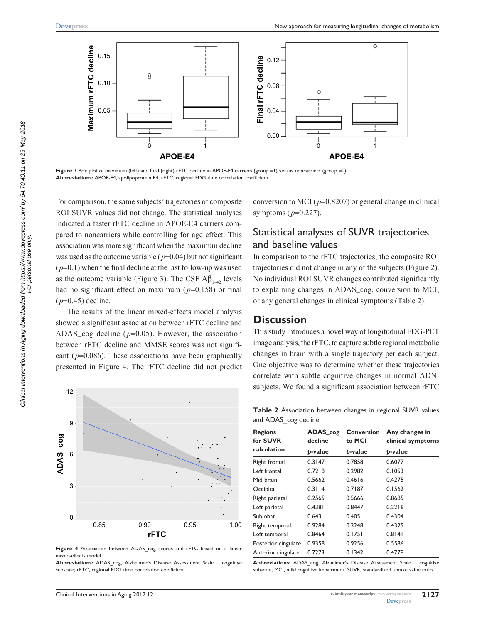

**Figure 3** Box plot of maximum (left) and final (right) rFTC decline in APOE-E4 carriers (group =1) versus noncarriers (group =0). **Abbreviations:** APOE-E4, apolipoprotein E4; rFTC, regional FDG time correlation coefficient.

For comparison, the same subjects' trajectories of composite ROI SUVR values did not change. The statistical analyses indicated a faster rFTC decline in APOE-E4 carriers compared to noncarriers while controlling for age effect. This association was more significant when the maximum decline was used as the outcome variable ( $p=0.04$ ) but not significant  $(p=0.1)$  when the final decline at the last follow-up was used as the outcome variable (Figure 3). The CSF  $\mathsf{AB}_{1\perp 4}$  levels had no significant effect on maximum ( $p=0.158$ ) or final (*p*=0.45) decline.

The results of the linear mixed-effects model analysis showed a significant association between rFTC decline and ADAS\_cog decline ( *p*=0.05). However, the association between rFTC decline and MMSE scores was not significant (*p*=0.086). These associations have been graphically presented in Figure 4. The rFTC decline did not predict



**Figure 4** Association between ADAS\_cog scores and rFTC based on a linear mixed-effects model.

**Abbreviations:** ADAS\_cog, Alzheimer's Disease Assessment Scale – cognitive subscale; rFTC, regional FDG time correlation coefficient.

conversion to MCI (*p*=0.8207) or general change in clinical symptoms (*p*=0.227).

# Statistical analyses of SUVR trajectories and baseline values

In comparison to the rFTC trajectories, the composite ROI trajectories did not change in any of the subjects (Figure 2). No individual ROI SUVR changes contributed significantly to explaining changes in ADAS\_cog, conversion to MCI, or any general changes in clinical symptoms (Table 2).

## **Discussion**

This study introduces a novel way of longitudinal FDG-PET image analysis, the rFTC, to capture subtle regional metabolic changes in brain with a single trajectory per each subject. One objective was to determine whether these trajectories correlate with subtle cognitive changes in normal ADNI subjects. We found a significant association between rFTC

**Table 2** Association between changes in regional SUVR values and ADAS cog decline

| <b>Regions</b><br>for SUVR<br>calculation | ADAS_cog<br>decline | <b>Conversion</b><br>to MCI | Any changes in<br>clinical symptoms |
|-------------------------------------------|---------------------|-----------------------------|-------------------------------------|
|                                           | p-value             | p-value                     | p-value                             |
| Right frontal                             | 0.3147              | 0.7858                      | 0.6077                              |
| Left frontal                              | 0.7218              | 0.2982                      | 0.1053                              |
| Mid brain                                 | 0.5662              | 0.4616                      | 0.4275                              |
| Occipital                                 | 0.3114              | 0.7187                      | 0.1562                              |
| Right parietal                            | 0.2565              | 0.5666                      | 0.8685                              |
| Left parietal                             | 0.4381              | 0.8447                      | 0.2216                              |
| Sublobar                                  | 0.643               | 0.405                       | 0.4304                              |
| Right temporal                            | 0.9284              | 0.3248                      | 0.4325                              |
| Left temporal                             | 0.8464              | 0.1751                      | 0.8141                              |
| Posterior cingulate                       | 0.9358              | 0.9256                      | 0.5586                              |
| Anterior cingulate                        | 0.7273              | 0.1342                      | 0.4778                              |

**Abbreviations:** ADAS\_cog, Alzheimer's Disease Assessment Scale – cognitive subscale; MCI, mild cognitive impairment; SUVR, standardized uptake value ratio.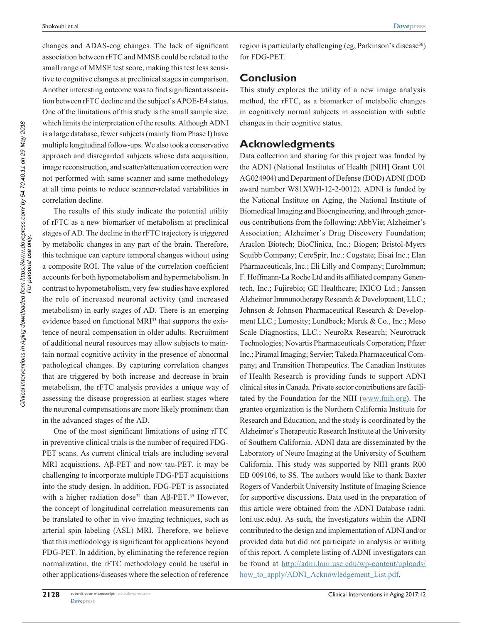**[Dovepress](www.dovepress.com)**

changes and ADAS-cog changes. The lack of significant association between rFTC and MMSE could be related to the small range of MMSE test score, making this test less sensitive to cognitive changes at preclinical stages in comparison. Another interesting outcome was to find significant association between rFTC decline and the subject's APOE-E4 status. One of the limitations of this study is the small sample size, which limits the interpretation of the results. Although ADNI is a large database, fewer subjects (mainly from Phase I) have multiple longitudinal follow-ups. We also took a conservative approach and disregarded subjects whose data acquisition, image reconstruction, and scatter/attenuation correction were not performed with same scanner and same methodology at all time points to reduce scanner-related variabilities in correlation decline.

The results of this study indicate the potential utility of rFTC as a new biomarker of metabolism at preclinical stages of AD. The decline in the rFTC trajectory is triggered by metabolic changes in any part of the brain. Therefore, this technique can capture temporal changes without using a composite ROI. The value of the correlation coefficient accounts for both hypometabolism and hypermetabolism. In contrast to hypometabolism, very few studies have explored the role of increased neuronal activity (and increased metabolism) in early stages of AD. There is an emerging evidence based on functional MRI<sup>33</sup> that supports the existence of neural compensation in older adults. Recruitment of additional neural resources may allow subjects to maintain normal cognitive activity in the presence of abnormal pathological changes. By capturing correlation changes that are triggered by both increase and decrease in brain metabolism, the rFTC analysis provides a unique way of assessing the disease progression at earliest stages where the neuronal compensations are more likely prominent than in the advanced stages of the AD.

One of the most significant limitations of using rFTC in preventive clinical trials is the number of required FDG-PET scans. As current clinical trials are including several MRI acquisitions, Aβ-PET and now tau-PET, it may be challenging to incorporate multiple FDG-PET acquisitions into the study design. In addition, FDG-PET is associated with a higher radiation dose<sup>34</sup> than Aβ-PET.<sup>35</sup> However, the concept of longitudinal correlation measurements can be translated to other in vivo imaging techniques, such as arterial spin labeling (ASL) MRI. Therefore, we believe that this methodology is significant for applications beyond FDG-PET. In addition, by eliminating the reference region normalization, the rFTC methodology could be useful in other applications/diseases where the selection of reference region is particularly challenging (eg, Parkinson's disease<sup>36</sup>) for FDG-PET.

# **Conclusion**

This study explores the utility of a new image analysis method, the rFTC, as a biomarker of metabolic changes in cognitively normal subjects in association with subtle changes in their cognitive status.

# **Acknowledgments**

Data collection and sharing for this project was funded by the ADNI (National Institutes of Health [NIH] Grant U01 AG024904) and Department of Defense (DOD) ADNI (DOD award number W81XWH-12-2-0012). ADNI is funded by the National Institute on Aging, the National Institute of Biomedical Imaging and Bioengineering, and through generous contributions from the following: AbbVie; Alzheimer's Association; Alzheimer's Drug Discovery Foundation; Araclon Biotech; BioClinica, Inc.; Biogen; Bristol-Myers Squibb Company; CereSpir, Inc.; Cogstate; Eisai Inc.; Elan Pharmaceuticals, Inc.; Eli Lilly and Company; EuroImmun; F. Hoffmann-La Roche Ltd and its affiliated company Genentech, Inc.; Fujirebio; GE Healthcare; IXICO Ltd.; Janssen Alzheimer Immunotherapy Research & Development, LLC.; Johnson & Johnson Pharmaceutical Research & Development LLC.; Lumosity; Lundbeck; Merck & Co., Inc.; Meso Scale Diagnostics, LLC.; NeuroRx Research; Neurotrack Technologies; Novartis Pharmaceuticals Corporation; Pfizer Inc.; Piramal Imaging; Servier; Takeda Pharmaceutical Company; and Transition Therapeutics. The Canadian Institutes of Health Research is providing funds to support ADNI clinical sites in Canada. Private sector contributions are facilitated by the Foundation for the NIH [\(www.fnih.org](www.fnih.org)). The grantee organization is the Northern California Institute for Research and Education, and the study is coordinated by the Alzheimer's Therapeutic Research Institute at the University of Southern California. ADNI data are disseminated by the Laboratory of Neuro Imaging at the University of Southern California. This study was supported by NIH grants R00 EB 009106, to SS. The authors would like to thank Baxter Rogers of Vanderbilt University Institute of Imaging Science for supportive discussions. Data used in the preparation of this article were obtained from the ADNI Database (adni. loni.usc.edu). As such, the investigators within the ADNI contributed to the design and implementation of ADNI and/or provided data but did not participate in analysis or writing of this report. A complete listing of ADNI investigators can be found at [http://adni.loni.usc.edu/wp-content/uploads/](http://adni.loni.usc.edu/wp-content/uploads/how_to_apply/ADNI_Acknowledgement_List.pdf) how to apply/ADNI Acknowledgement List.pdf.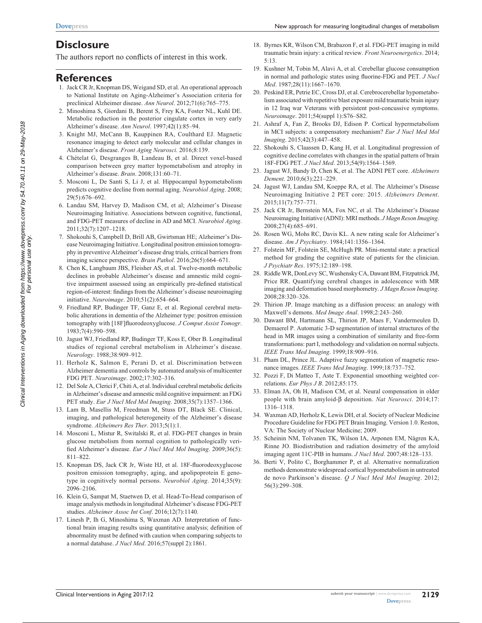# **[Dovepress](www.dovepress.com)**

# **Disclosure**

The authors report no conflicts of interest in this work.

#### **References**

- 1. Jack CR Jr, Knopman DS, Weigand SD, et al. An operational approach to National Institute on Aging-Alzheimer's Association criteria for preclinical Alzheimer disease. *Ann Neurol*. 2012;71(6):765–775.
- 2. Minoshima S, Giordani B, Berent S, Frey KA, Foster NL, Kuhl DE. Metabolic reduction in the posterior cingulate cortex in very early Alzheimer's disease. *Ann Neurol*. 1997;42(1):85–94.
- 3. Knight MJ, McCann B, Kauppinen RA, Coulthard EJ. Magnetic resonance imaging to detect early molecular and cellular changes in Alzheimer's disease. *Front Aging Neurosci*. 2016;8:139.
- 4. Chételat G, Desgranges B, Landeau B, et al. Direct voxel-based comparison between grey matter hypometabolism and atrophy in Alzheimer's disease. *Brain*. 2008;131:60–71.
- 5. Mosconi L, De Santi S, Li J, et al. Hippocampal hypometabolism predicts cognitive decline from normal aging. *Neurobiol Aging*. 2008; 29(5):676–692.
- 6. Landau SM, Harvey D, Madison CM, et al; Alzheimer's Disease Neuroimaging Initiative. Associations between cognitive, functional, and FDG-PET measures of decline in AD and MCI. *Neurobiol Aging*. 2011;32(7):1207–1218.
- 7. Shokouhi S, Campbell D, Brill AB, Gwirtsman HE; Alzheimer's Disease Neuroimaging Initiative. Longitudinal positron emission tomography in preventive Alzheimer's disease drug trials, critical barriers from imaging science perspective. *Brain Pathol*. 2016;26(5):664–671.
- 8. Chen K, Langbaum JBS, Fleisher AS, et al. Twelve-month metabolic declines in probable Alzheimer's disease and amnestic mild cognitive impairment assessed using an empirically pre-defined statistical region-of-interest: findings from the Alzheimer's disease neuroimaging initiative. *Neuroimage*. 2010;51(2):654–664.
- 9. Friedland RP, Budinger TF, Ganz E, et al. Regional cerebral metabolic alterations in dementia of the Alzheimer type: positron emission tomography with [18F]fluorodeoxyglucose. *J Comput Assist Tomogr*. 1983;7(4):590–598.
- 10. Jagust WJ, Friedland RP, Budinger TF, Koss E, Ober B. Longitudinal studies of regional cerebral metabolism in Alzheimer's disease. *Neurology*. 1988;38:909–912.
- 11. Herholz K, Salmon E, Perani D, et al. Discrimination between Alzheimer dementia and controls by automated analysis of multicenter FDG PET. *Neuroimage*. 2002;17:302–316.
- 12. Del Sole A, Clerici F, Chiti A, et al. Individual cerebral metabolic deficits in Alzheimer's disease and amnestic mild cognitive impairment: an FDG PET study. *Eur J Nucl Med Mol Imaging*. 2008;35(7):1357–1366.
- 13. Lam B, Masellis M, Freedman M, Stuss DT, Black SE. Clinical, imaging, and pathological heterogeneity of the Alzheimer's disease syndrome. *Alzheimers Res Ther*. 2013;5(1):1.
- 14. Mosconi L, Mistur R, Switalski R, et al. FDG-PET changes in brain glucose metabolism from normal cognition to pathologically verified Alzheimer's disease. *Eur J Nucl Med Mol Imaging*. 2009;36(5): 811–822.
- 15. Knopman DS, Jack CR Jr, Wiste HJ, et al. 18F-fluorodeoxyglucose positron emission tomography, aging, and apolipoprotein E genotype in cognitively normal persons. *Neurobiol Aging*. 2014;35(9): 2096–2106.
- 16. Klein G, Sampat M, Staetwen D, et al. Head-To-Head comparison of image analysis methods in longitudinal Alzheimer's disease FDG-PET studies. *Alzheimer Assoc Int Conf*. 2016;12(7):1140.
- 17. Linesh P, Ih G, Minoshima S, Waxman AD. Interpretation of functional brain imaging results using quantitative analysis; definition of abnormality must be defined with caution when comparing subjects to a normal database. *J Nucl Med*. 2016;57(suppl 2):1861.
- 18. Byrnes KR, Wilson CM, Brabazon F, et al. FDG-PET imaging in mild traumatic brain injury: a critical review. *Front Neuroenergetics*. 2014;  $5.13$
- 19. Kushner M, Tobin M, Alavi A, et al. Cerebellar glucose consumption in normal and pathologic states using fluorine-FDG and PET. *J Nucl Med*. 1987;28(11):1667–1670.
- 20. Peskind ER, Petrie EC, Cross DJ, et al. Cerebrocerebellar hypometabolism associated with repetitive blast exposure mild traumatic brain injury in 12 Iraq war Veterans with persistent post-concussive symptoms. *Neuroimage*. 2011;54(suppl 1):S76–S82.
- 21. Ashraf A, Fan Z, Brooks DJ, Edison P. Cortical hypermetabolism in MCI subjects: a compensatory mechanism? *Eur J Nucl Med Mol Imaging*. 2015;42(3):447–458.
- 22. Shokouhi S, Claassen D, Kang H, et al. Longitudinal progression of cognitive decline correlates with changes in the spatial pattern of brain 18F-FDG PET. *J Nucl Med*. 2013;54(9):1564–1569.
- 23. Jagust WJ, Bandy D, Chen K, et al. The ADNI PET core. *Alzheimers Dement*. 2010;6(3):221–229.
- 24. Jagust WJ, Landau SM, Koeppe RA, et al. The Alzheimer's Disease Neuroimaging Initiative 2 PET core: 2015. *Alzheimers Dement*. 2015;11(7):757–771.
- 25. Jack CR Jr, Bernstein MA, Fox NC, et al. The Alzheimer's Disease Neuroimaging Initiative (ADNI): MRI methods. *J Magn Reson Imaging*. 2008;27(4):685–691.
- 26. Rosen WG, Mohs RC, Davis KL. A new rating scale for Alzheimer's disease. *Am J Psychiatry*. 1984;141:1356–1364.
- 27. Folstein MF, Folstein SE, McHugh PR. Mini-mental state: a practical method for grading the cognitive state of patients for the clinician. *J Psychiatr Res*. 1975;12:189–198.
- 28. Riddle WR, DonLevy SC, Wushensky CA, Dawant BM, Fitzpatrick JM, Price RR. Quantifying cerebral changes in adolescence with MR imaging and deformation based morphometry. *J Magn Reson Imaging*. 2008;28:320–326.
- 29. Thirion JP. Image matching as a diffusion process: an analogy with Maxwell's demons. *Med Image Anal*. 1998;2:243–260.
- 30. Dawant BM, Hartmann SL, Thirion JP, Maes F, Vandermeulen D, Demaerel P. Automatic 3-D segmentation of internal structures of the head in MR images using a combination of similarity and free-form transformations: part I, methodology and validation on normal subjects. *IEEE Trans Med Imaging*. 1999;18:909–916.
- 31. Pham DL, Prince JL. Adaptive fuzzy segmentation of magnetic resonance images. *IEEE Trans Med Imaging*. 1999;18:737–752.
- 32. Pozzi F, Di Matteo T, Aste T. Exponential smoothing weighted correlations. *Eur Phys J B*. 2012;85:175.
- 33. Elman JA, Oh H, Madison CM, et al. Neural compensation in older people with brain amyloid-β deposition. *Nat Neurosci*. 2014;17: 1316–1318.
- 34. Waxman AD, Herholz K, Lewis DH, et al. Society of Nuclear Medicine Procedure Guideline for FDG PET Brain Imaging. Version 1.0. Reston, VA: The Society of Nuclear Medicine; 2009.
- 35. Scheinin NM, Tolvanen TK, Wilson IA, Arponen EM, Någren KA, Rinne JO. Biodistribution and radiation dosimetry of the amyloid imaging agent 11C-PIB in humans. *J Nucl Med*. 2007;48:128–133.
- 36. Berti V, Polito C, Borghammer P, et al. Alternative normalization methods demonstrate widespread cortical hypometabolism in untreated de novo Parkinson's disease. *Q J Nucl Med Mol Imaging*. 2012; 56(3):299–308.